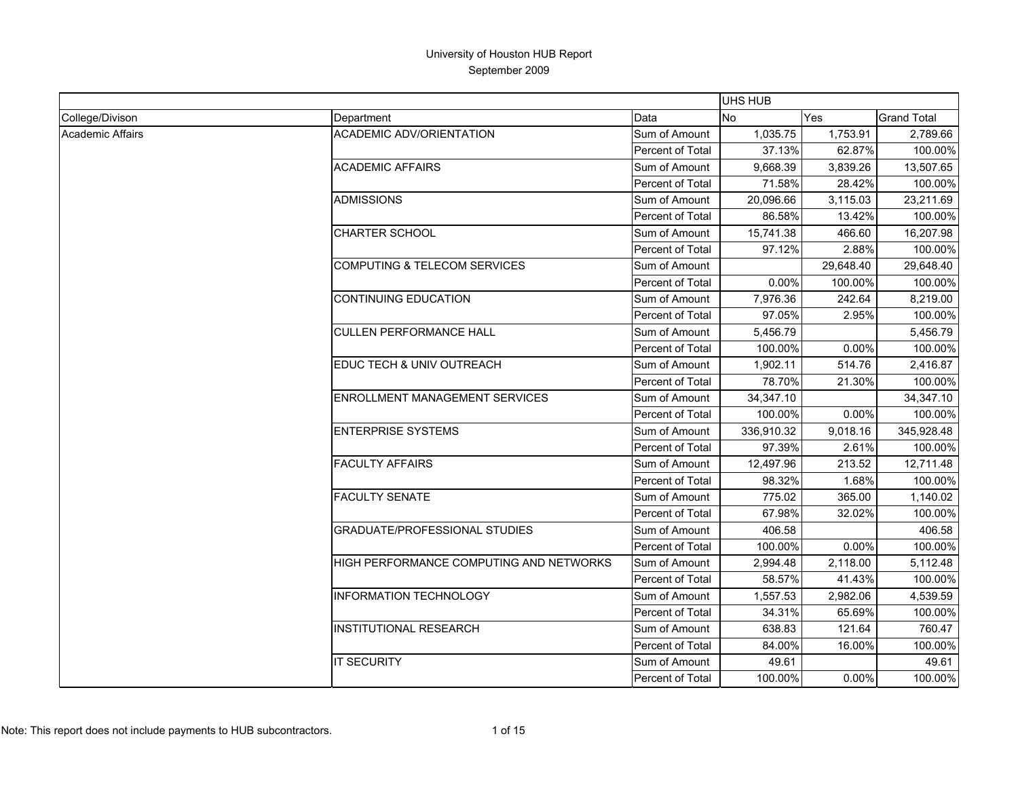|                  |                                         |                  | UHS HUB    |           |                    |
|------------------|-----------------------------------------|------------------|------------|-----------|--------------------|
| College/Divison  | Department                              | Data             | No         | Yes       | <b>Grand Total</b> |
| Academic Affairs | <b>ACADEMIC ADV/ORIENTATION</b>         | Sum of Amount    | 1,035.75   | 1,753.91  | 2,789.66           |
|                  |                                         | Percent of Total | 37.13%     | 62.87%    | 100.00%            |
|                  | <b>ACADEMIC AFFAIRS</b>                 | Sum of Amount    | 9.668.39   | 3,839.26  | 13,507.65          |
|                  |                                         | Percent of Total | 71.58%     | 28.42%    | 100.00%            |
|                  | <b>ADMISSIONS</b>                       | Sum of Amount    | 20,096.66  | 3,115.03  | 23,211.69          |
|                  |                                         | Percent of Total | 86.58%     | 13.42%    | 100.00%            |
|                  | <b>CHARTER SCHOOL</b>                   | Sum of Amount    | 15,741.38  | 466.60    | 16,207.98          |
|                  |                                         | Percent of Total | 97.12%     | 2.88%     | 100.00%            |
|                  | <b>COMPUTING &amp; TELECOM SERVICES</b> | Sum of Amount    |            | 29,648.40 | 29,648.40          |
|                  |                                         | Percent of Total | 0.00%      | 100.00%   | 100.00%            |
|                  | <b>CONTINUING EDUCATION</b>             | Sum of Amount    | 7,976.36   | 242.64    | 8,219.00           |
|                  |                                         | Percent of Total | 97.05%     | 2.95%     | 100.00%            |
|                  | <b>CULLEN PERFORMANCE HALL</b>          | Sum of Amount    | 5,456.79   |           | 5,456.79           |
|                  |                                         | Percent of Total | 100.00%    | 0.00%     | 100.00%            |
|                  | EDUC TECH & UNIV OUTREACH               | Sum of Amount    | 1,902.11   | 514.76    | 2,416.87           |
|                  |                                         | Percent of Total | 78.70%     | 21.30%    | 100.00%            |
|                  | <b>ENROLLMENT MANAGEMENT SERVICES</b>   | Sum of Amount    | 34,347.10  |           | 34,347.10          |
|                  |                                         | Percent of Total | 100.00%    | 0.00%     | 100.00%            |
|                  | <b>ENTERPRISE SYSTEMS</b>               | Sum of Amount    | 336,910.32 | 9,018.16  | 345,928.48         |
|                  |                                         | Percent of Total | 97.39%     | 2.61%     | 100.00%            |
|                  | <b>FACULTY AFFAIRS</b>                  | Sum of Amount    | 12,497.96  | 213.52    | 12,711.48          |
|                  |                                         | Percent of Total | 98.32%     | 1.68%     | 100.00%            |
|                  | <b>FACULTY SENATE</b>                   | Sum of Amount    | 775.02     | 365.00    | 1,140.02           |
|                  |                                         | Percent of Total | 67.98%     | 32.02%    | 100.00%            |
|                  | <b>GRADUATE/PROFESSIONAL STUDIES</b>    | Sum of Amount    | 406.58     |           | 406.58             |
|                  |                                         | Percent of Total | 100.00%    | $0.00\%$  | 100.00%            |
|                  | HIGH PERFORMANCE COMPUTING AND NETWORKS | Sum of Amount    | 2,994.48   | 2,118.00  | 5,112.48           |
|                  |                                         | Percent of Total | 58.57%     | 41.43%    | 100.00%            |
|                  | <b>INFORMATION TECHNOLOGY</b>           | Sum of Amount    | 1,557.53   | 2,982.06  | 4,539.59           |
|                  |                                         | Percent of Total | 34.31%     | 65.69%    | 100.00%            |
|                  | <b>INSTITUTIONAL RESEARCH</b>           | Sum of Amount    | 638.83     | 121.64    | 760.47             |
|                  |                                         | Percent of Total | 84.00%     | 16.00%    | 100.00%            |
|                  | <b>IT SECURITY</b>                      | Sum of Amount    | 49.61      |           | 49.61              |
|                  |                                         | Percent of Total | 100.00%    | 0.00%     | 100.00%            |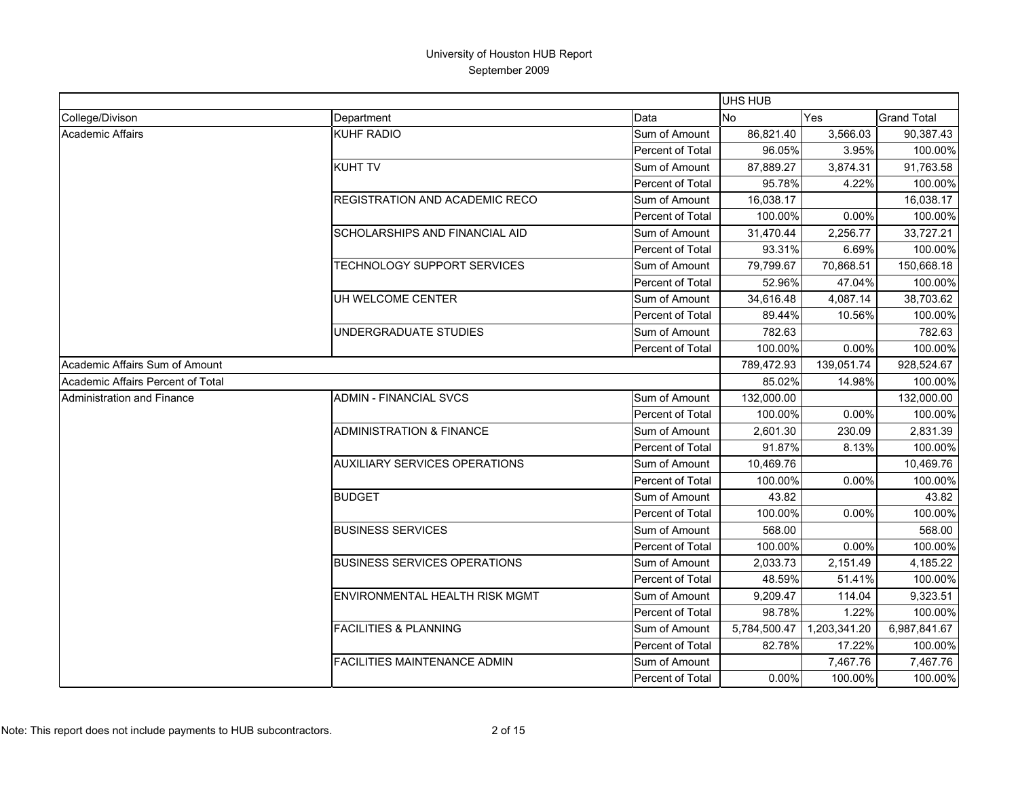|                                   |                                       |                  | <b>UHS HUB</b> |              |                    |
|-----------------------------------|---------------------------------------|------------------|----------------|--------------|--------------------|
| College/Divison                   | Department                            | Data             | No             | Yes          | <b>Grand Total</b> |
| Academic Affairs                  | <b>KUHF RADIO</b>                     | Sum of Amount    | 86,821.40      | 3,566.03     | 90,387.43          |
|                                   |                                       | Percent of Total | 96.05%         | 3.95%        | 100.00%            |
|                                   | <b>KUHT TV</b>                        | Sum of Amount    | 87,889.27      | 3,874.31     | 91,763.58          |
|                                   |                                       | Percent of Total | 95.78%         | 4.22%        | 100.00%            |
|                                   | <b>REGISTRATION AND ACADEMIC RECO</b> | Sum of Amount    | 16.038.17      |              | 16,038.17          |
|                                   |                                       | Percent of Total | 100.00%        | 0.00%        | 100.00%            |
|                                   | SCHOLARSHIPS AND FINANCIAL AID        | Sum of Amount    | 31,470.44      | 2,256.77     | 33,727.21          |
|                                   |                                       | Percent of Total | 93.31%         | 6.69%        | 100.00%            |
|                                   | TECHNOLOGY SUPPORT SERVICES           | Sum of Amount    | 79,799.67      | 70,868.51    | 150,668.18         |
|                                   |                                       | Percent of Total | 52.96%         | 47.04%       | 100.00%            |
|                                   | UH WELCOME CENTER                     | Sum of Amount    | 34,616.48      | 4,087.14     | 38,703.62          |
|                                   |                                       | Percent of Total | 89.44%         | 10.56%       | 100.00%            |
|                                   | UNDERGRADUATE STUDIES                 | Sum of Amount    | 782.63         |              | 782.63             |
|                                   |                                       | Percent of Total | 100.00%        | 0.00%        | 100.00%            |
| Academic Affairs Sum of Amount    |                                       |                  | 789,472.93     | 139,051.74   | 928,524.67         |
| Academic Affairs Percent of Total |                                       |                  | 85.02%         | 14.98%       | 100.00%            |
| Administration and Finance        | <b>ADMIN - FINANCIAL SVCS</b>         | Sum of Amount    | 132,000.00     |              | 132,000.00         |
|                                   |                                       | Percent of Total | 100.00%        | 0.00%        | 100.00%            |
|                                   | <b>ADMINISTRATION &amp; FINANCE</b>   | Sum of Amount    | 2,601.30       | 230.09       | 2,831.39           |
|                                   |                                       | Percent of Total | 91.87%         | 8.13%        | 100.00%            |
|                                   | <b>AUXILIARY SERVICES OPERATIONS</b>  | Sum of Amount    | 10.469.76      |              | 10,469.76          |
|                                   |                                       | Percent of Total | 100.00%        | 0.00%        | 100.00%            |
|                                   | <b>BUDGET</b>                         | Sum of Amount    | 43.82          |              | 43.82              |
|                                   |                                       | Percent of Total | 100.00%        | 0.00%        | 100.00%            |
|                                   | <b>BUSINESS SERVICES</b>              | Sum of Amount    | 568.00         |              | 568.00             |
|                                   |                                       | Percent of Total | 100.00%        | 0.00%        | 100.00%            |
|                                   | <b>BUSINESS SERVICES OPERATIONS</b>   | Sum of Amount    | 2,033.73       | 2,151.49     | 4,185.22           |
|                                   |                                       | Percent of Total | 48.59%         | 51.41%       | 100.00%            |
|                                   | ENVIRONMENTAL HEALTH RISK MGMT        | Sum of Amount    | 9,209.47       | 114.04       | 9,323.51           |
|                                   |                                       | Percent of Total | 98.78%         | 1.22%        | 100.00%            |
|                                   | <b>FACILITIES &amp; PLANNING</b>      | Sum of Amount    | 5,784,500.47   | 1,203,341.20 | 6,987,841.67       |
|                                   |                                       | Percent of Total | 82.78%         | 17.22%       | 100.00%            |
|                                   | <b>FACILITIES MAINTENANCE ADMIN</b>   | Sum of Amount    |                | 7,467.76     | 7,467.76           |
|                                   |                                       | Percent of Total | $0.00\%$       | 100.00%      | 100.00%            |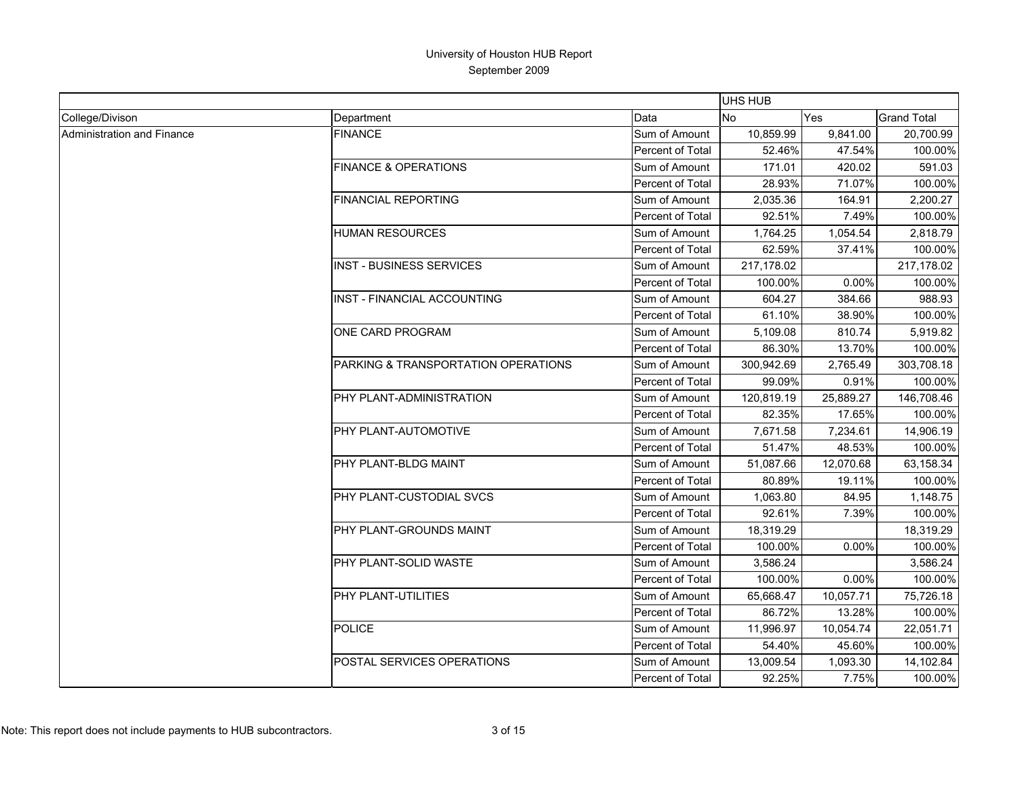|                                   |                                     |                  | UHS HUB    |           |                    |
|-----------------------------------|-------------------------------------|------------------|------------|-----------|--------------------|
| College/Divison                   | Department                          | Data             | <b>No</b>  | Yes       | <b>Grand Total</b> |
| <b>Administration and Finance</b> | <b>FINANCE</b>                      | Sum of Amount    | 10,859.99  | 9.841.00  | 20.700.99          |
|                                   |                                     | Percent of Total | 52.46%     | 47.54%    | 100.00%            |
|                                   | <b>FINANCE &amp; OPERATIONS</b>     | Sum of Amount    | 171.01     | 420.02    | 591.03             |
|                                   |                                     | Percent of Total | 28.93%     | 71.07%    | 100.00%            |
|                                   | <b>FINANCIAL REPORTING</b>          | Sum of Amount    | 2,035.36   | 164.91    | 2,200.27           |
|                                   |                                     | Percent of Total | 92.51%     | 7.49%     | 100.00%            |
|                                   | <b>HUMAN RESOURCES</b>              | Sum of Amount    | 1,764.25   | 1,054.54  | 2,818.79           |
|                                   |                                     | Percent of Total | 62.59%     | 37.41%    | 100.00%            |
|                                   | <b>INST - BUSINESS SERVICES</b>     | Sum of Amount    | 217,178.02 |           | 217,178.02         |
|                                   |                                     | Percent of Total | 100.00%    | 0.00%     | 100.00%            |
|                                   | <b>INST - FINANCIAL ACCOUNTING</b>  | Sum of Amount    | 604.27     | 384.66    | 988.93             |
|                                   |                                     | Percent of Total | 61.10%     | 38.90%    | 100.00%            |
|                                   | ONE CARD PROGRAM                    | Sum of Amount    | 5,109.08   | 810.74    | 5,919.82           |
|                                   |                                     | Percent of Total | 86.30%     | 13.70%    | 100.00%            |
|                                   | PARKING & TRANSPORTATION OPERATIONS | Sum of Amount    | 300,942.69 | 2,765.49  | 303,708.18         |
|                                   |                                     | Percent of Total | 99.09%     | 0.91%     | 100.00%            |
|                                   | PHY PLANT-ADMINISTRATION            | Sum of Amount    | 120,819.19 | 25,889.27 | 146,708.46         |
|                                   |                                     | Percent of Total | 82.35%     | 17.65%    | 100.00%            |
|                                   | PHY PLANT-AUTOMOTIVE                | Sum of Amount    | 7,671.58   | 7,234.61  | 14,906.19          |
|                                   |                                     | Percent of Total | 51.47%     | 48.53%    | 100.00%            |
|                                   | PHY PLANT-BLDG MAINT                | Sum of Amount    | 51,087.66  | 12,070.68 | 63,158.34          |
|                                   |                                     | Percent of Total | 80.89%     | 19.11%    | 100.00%            |
|                                   | PHY PLANT-CUSTODIAL SVCS            | Sum of Amount    | 1,063.80   | 84.95     | 1,148.75           |
|                                   |                                     | Percent of Total | 92.61%     | 7.39%     | 100.00%            |
|                                   | <b>IPHY PLANT-GROUNDS MAINT</b>     | Sum of Amount    | 18,319.29  |           | 18,319.29          |
|                                   |                                     | Percent of Total | 100.00%    | 0.00%     | 100.00%            |
|                                   | PHY PLANT-SOLID WASTE               | Sum of Amount    | 3,586.24   |           | 3,586.24           |
|                                   |                                     | Percent of Total | 100.00%    | 0.00%     | 100.00%            |
|                                   | PHY PLANT-UTILITIES                 | Sum of Amount    | 65,668.47  | 10,057.71 | 75,726.18          |
|                                   |                                     | Percent of Total | 86.72%     | 13.28%    | 100.00%            |
|                                   | <b>POLICE</b>                       | Sum of Amount    | 11,996.97  | 10,054.74 | 22,051.71          |
|                                   |                                     | Percent of Total | 54.40%     | 45.60%    | 100.00%            |
|                                   | POSTAL SERVICES OPERATIONS          | Sum of Amount    | 13,009.54  | 1,093.30  | 14,102.84          |
|                                   |                                     | Percent of Total | 92.25%     | 7.75%     | 100.00%            |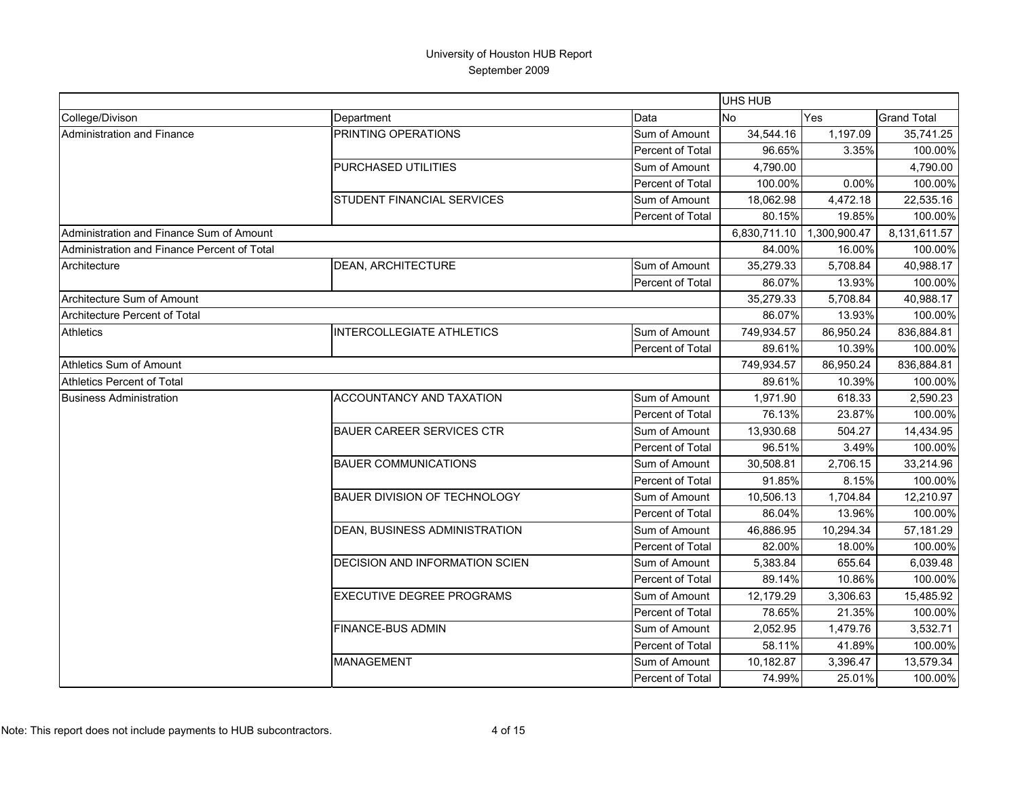|                                             |                                     |                  | <b>UHS HUB</b> |              |                    |
|---------------------------------------------|-------------------------------------|------------------|----------------|--------------|--------------------|
| College/Divison                             | Department                          | Data             | <b>No</b>      | Yes          | <b>Grand Total</b> |
| Administration and Finance                  | PRINTING OPERATIONS                 | Sum of Amount    | 34,544.16      | 1,197.09     | 35,741.25          |
|                                             |                                     | Percent of Total | 96.65%         | 3.35%        | 100.00%            |
|                                             | PURCHASED UTILITIES                 | Sum of Amount    | 4,790.00       |              | 4,790.00           |
|                                             |                                     | Percent of Total | 100.00%        | 0.00%        | 100.00%            |
|                                             | STUDENT FINANCIAL SERVICES          | Sum of Amount    | 18,062.98      | 4,472.18     | 22,535.16          |
|                                             |                                     | Percent of Total | 80.15%         | 19.85%       | 100.00%            |
| Administration and Finance Sum of Amount    |                                     |                  | 6,830,711.10   | 1,300,900.47 | 8,131,611.57       |
| Administration and Finance Percent of Total |                                     |                  | 84.00%         | 16.00%       | 100.00%            |
| Architecture                                | DEAN, ARCHITECTURE                  | Sum of Amount    | 35,279.33      | 5,708.84     | 40,988.17          |
|                                             |                                     | Percent of Total | 86.07%         | 13.93%       | 100.00%            |
| Architecture Sum of Amount                  |                                     |                  | 35,279.33      | 5,708.84     | 40,988.17          |
| Architecture Percent of Total               |                                     |                  | 86.07%         | 13.93%       | 100.00%            |
| <b>Athletics</b>                            | <b>INTERCOLLEGIATE ATHLETICS</b>    | Sum of Amount    | 749,934.57     | 86,950.24    | 836,884.81         |
|                                             |                                     | Percent of Total | 89.61%         | 10.39%       | 100.00%            |
| Athletics Sum of Amount                     |                                     |                  | 749,934.57     | 86,950.24    | 836,884.81         |
| <b>Athletics Percent of Total</b>           |                                     |                  | 89.61%         | 10.39%       | 100.00%            |
| <b>Business Administration</b>              | ACCOUNTANCY AND TAXATION            | Sum of Amount    | 1,971.90       | 618.33       | 2,590.23           |
|                                             |                                     | Percent of Total | 76.13%         | 23.87%       | 100.00%            |
|                                             | <b>BAUER CAREER SERVICES CTR</b>    | Sum of Amount    | 13,930.68      | 504.27       | 14,434.95          |
|                                             |                                     | Percent of Total | 96.51%         | 3.49%        | 100.00%            |
|                                             | <b>BAUER COMMUNICATIONS</b>         | Sum of Amount    | 30,508.81      | 2,706.15     | 33,214.96          |
|                                             |                                     | Percent of Total | 91.85%         | 8.15%        | 100.00%            |
|                                             | <b>BAUER DIVISION OF TECHNOLOGY</b> | Sum of Amount    | 10,506.13      | 1,704.84     | 12,210.97          |
|                                             |                                     | Percent of Total | 86.04%         | 13.96%       | 100.00%            |
|                                             | DEAN, BUSINESS ADMINISTRATION       | Sum of Amount    | 46,886.95      | 10,294.34    | 57,181.29          |
|                                             |                                     | Percent of Total | 82.00%         | 18.00%       | 100.00%            |
|                                             | DECISION AND INFORMATION SCIEN      | Sum of Amount    | 5,383.84       | 655.64       | 6,039.48           |
|                                             |                                     | Percent of Total | 89.14%         | 10.86%       | 100.00%            |
|                                             | <b>EXECUTIVE DEGREE PROGRAMS</b>    | Sum of Amount    | 12,179.29      | 3,306.63     | 15,485.92          |
|                                             |                                     | Percent of Total | 78.65%         | 21.35%       | 100.00%            |
|                                             | <b>FINANCE-BUS ADMIN</b>            | Sum of Amount    | 2,052.95       | 1,479.76     | 3,532.71           |
|                                             |                                     | Percent of Total | 58.11%         | 41.89%       | 100.00%            |
|                                             | <b>MANAGEMENT</b>                   | Sum of Amount    | 10,182.87      | 3,396.47     | 13,579.34          |
|                                             |                                     | Percent of Total | 74.99%         | 25.01%       | 100.00%            |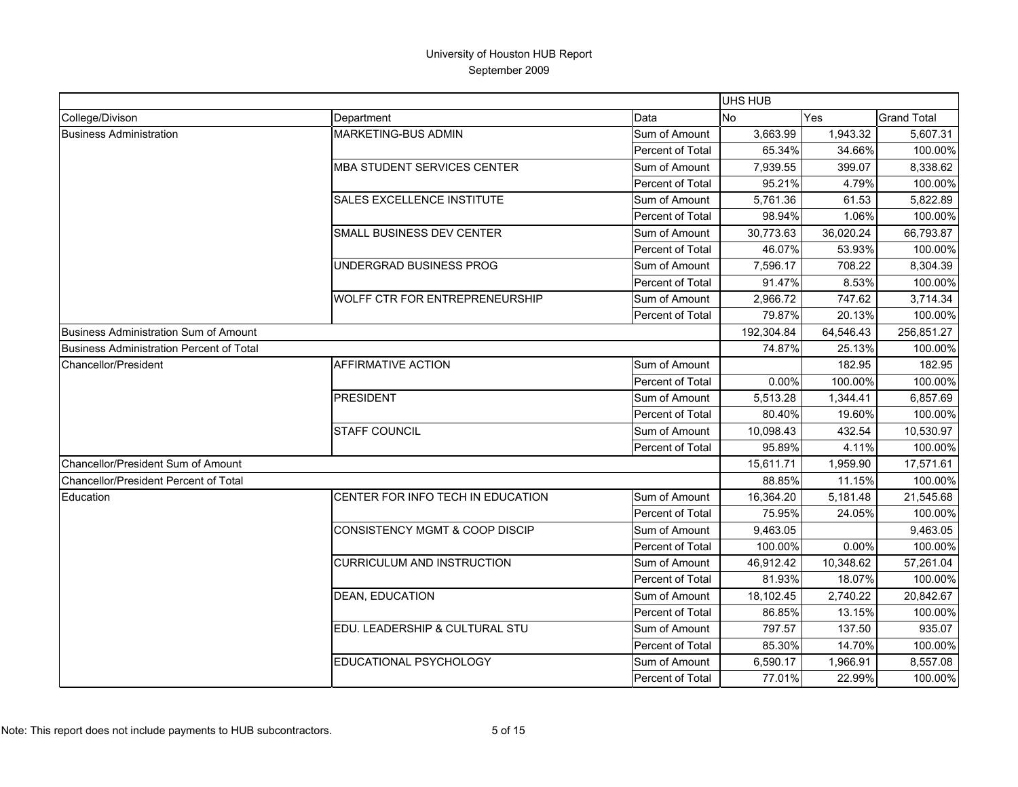|                                                 |                                           |                         | UHS HUB    |            |                    |
|-------------------------------------------------|-------------------------------------------|-------------------------|------------|------------|--------------------|
| College/Divison                                 | Department                                | Data                    | <b>No</b>  | <b>Yes</b> | <b>Grand Total</b> |
| <b>Business Administration</b>                  | <b>MARKETING-BUS ADMIN</b>                | Sum of Amount           | 3,663.99   | 1,943.32   | 5,607.31           |
|                                                 |                                           | <b>Percent of Total</b> | 65.34%     | 34.66%     | 100.00%            |
|                                                 | <b>MBA STUDENT SERVICES CENTER</b>        | Sum of Amount           | 7.939.55   | 399.07     | 8,338.62           |
|                                                 |                                           | Percent of Total        | 95.21%     | 4.79%      | 100.00%            |
|                                                 | <b>SALES EXCELLENCE INSTITUTE</b>         | Sum of Amount           | 5,761.36   | 61.53      | 5,822.89           |
|                                                 |                                           | <b>Percent of Total</b> | 98.94%     | 1.06%      | 100.00%            |
|                                                 | SMALL BUSINESS DEV CENTER                 | Sum of Amount           | 30,773.63  | 36,020.24  | 66,793.87          |
|                                                 |                                           | <b>Percent of Total</b> | 46.07%     | 53.93%     | 100.00%            |
|                                                 | UNDERGRAD BUSINESS PROG                   | Sum of Amount           | 7,596.17   | 708.22     | 8,304.39           |
|                                                 |                                           | Percent of Total        | 91.47%     | 8.53%      | 100.00%            |
|                                                 | WOLFF CTR FOR ENTREPRENEURSHIP            | Sum of Amount           | 2,966.72   | 747.62     | 3,714.34           |
|                                                 |                                           | Percent of Total        | 79.87%     | 20.13%     | 100.00%            |
| <b>Business Administration Sum of Amount</b>    |                                           |                         | 192,304.84 | 64,546.43  | 256,851.27         |
| <b>Business Administration Percent of Total</b> |                                           |                         | 74.87%     | 25.13%     | 100.00%            |
| Chancellor/President                            | AFFIRMATIVE ACTION                        | Sum of Amount           |            | 182.95     | 182.95             |
|                                                 |                                           | Percent of Total        | 0.00%      | 100.00%    | 100.00%            |
|                                                 | <b>PRESIDENT</b>                          | Sum of Amount           | 5,513.28   | 1.344.41   | 6,857.69           |
|                                                 |                                           | Percent of Total        | 80.40%     | 19.60%     | 100.00%            |
|                                                 | <b>STAFF COUNCIL</b>                      | Sum of Amount           | 10,098.43  | 432.54     | 10,530.97          |
|                                                 |                                           | Percent of Total        | 95.89%     | 4.11%      | 100.00%            |
| Chancellor/President Sum of Amount              |                                           |                         | 15,611.71  | 1,959.90   | 17,571.61          |
| <b>Chancellor/President Percent of Total</b>    |                                           |                         | 88.85%     | 11.15%     | 100.00%            |
| Education                                       | CENTER FOR INFO TECH IN EDUCATION         | Sum of Amount           | 16,364.20  | 5,181.48   | 21,545.68          |
|                                                 |                                           | Percent of Total        | 75.95%     | 24.05%     | 100.00%            |
|                                                 | <b>CONSISTENCY MGMT &amp; COOP DISCIP</b> | Sum of Amount           | 9,463.05   |            | 9,463.05           |
|                                                 |                                           | Percent of Total        | 100.00%    | $0.00\%$   | 100.00%            |
|                                                 | <b>CURRICULUM AND INSTRUCTION</b>         | Sum of Amount           | 46,912.42  | 10,348.62  | 57,261.04          |
|                                                 |                                           | Percent of Total        | 81.93%     | 18.07%     | 100.00%            |
|                                                 | DEAN, EDUCATION                           | Sum of Amount           | 18,102.45  | 2,740.22   | 20,842.67          |
|                                                 |                                           | Percent of Total        | 86.85%     | 13.15%     | 100.00%            |
|                                                 | EDU. LEADERSHIP & CULTURAL STU            | Sum of Amount           | 797.57     | 137.50     | 935.07             |
|                                                 |                                           | Percent of Total        | 85.30%     | 14.70%     | 100.00%            |
|                                                 | EDUCATIONAL PSYCHOLOGY                    | Sum of Amount           | 6,590.17   | 1,966.91   | 8,557.08           |
|                                                 |                                           | Percent of Total        | 77.01%     | 22.99%     | 100.00%            |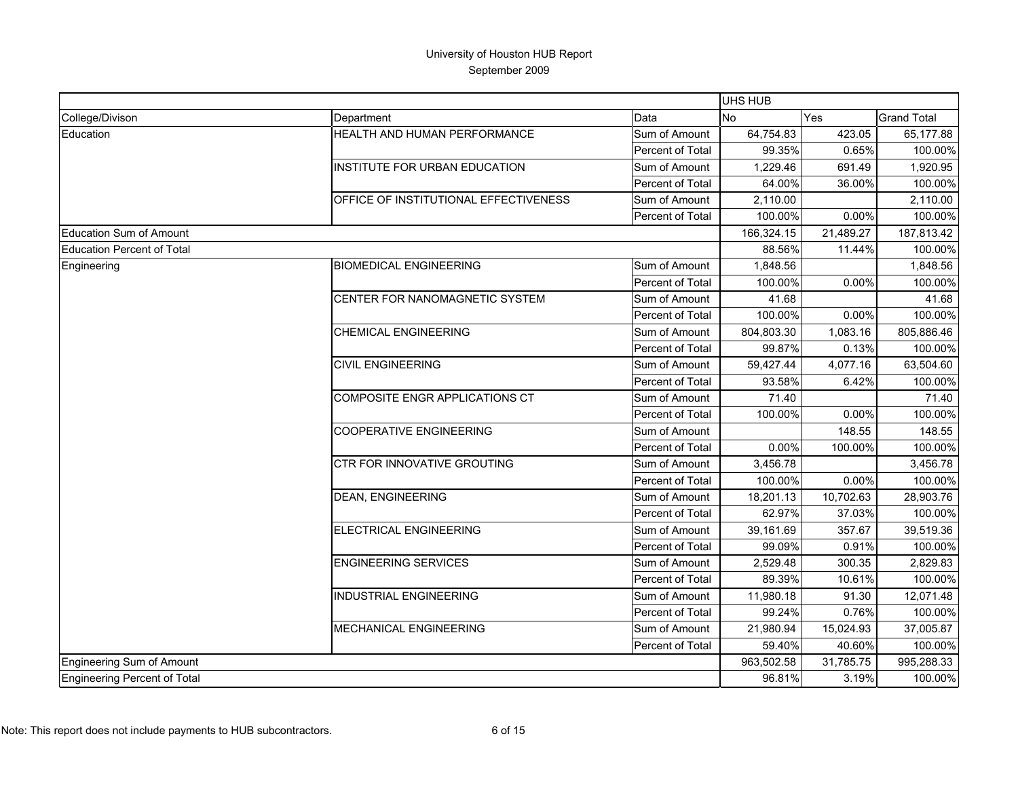|                                   |                                       |                         | UHS HUB    |           |                    |
|-----------------------------------|---------------------------------------|-------------------------|------------|-----------|--------------------|
| College/Divison                   | Department                            | Data                    | No         | Yes       | <b>Grand Total</b> |
| Education                         | HEALTH AND HUMAN PERFORMANCE          | Sum of Amount           | 64,754.83  | 423.05    | 65,177.88          |
|                                   |                                       | Percent of Total        | 99.35%     | 0.65%     | 100.00%            |
|                                   | INSTITUTE FOR URBAN EDUCATION         | Sum of Amount           | 1.229.46   | 691.49    | 1,920.95           |
|                                   |                                       | Percent of Total        | 64.00%     | 36.00%    | 100.00%            |
|                                   | OFFICE OF INSTITUTIONAL EFFECTIVENESS | Sum of Amount           | 2,110.00   |           | 2,110.00           |
|                                   |                                       | Percent of Total        | 100.00%    | 0.00%     | 100.00%            |
| <b>Education Sum of Amount</b>    |                                       |                         | 166,324.15 | 21,489.27 | 187,813.42         |
| <b>Education Percent of Total</b> |                                       |                         | 88.56%     | 11.44%    | 100.00%            |
| Engineering                       | <b>BIOMEDICAL ENGINEERING</b>         | Sum of Amount           | 1,848.56   |           | 1,848.56           |
|                                   |                                       | Percent of Total        | 100.00%    | 0.00%     | 100.00%            |
|                                   | CENTER FOR NANOMAGNETIC SYSTEM        | Sum of Amount           | 41.68      |           | 41.68              |
|                                   |                                       | Percent of Total        | 100.00%    | 0.00%     | 100.00%            |
|                                   | <b>CHEMICAL ENGINEERING</b>           | Sum of Amount           | 804,803.30 | 1,083.16  | 805,886.46         |
|                                   |                                       | Percent of Total        | 99.87%     | 0.13%     | 100.00%            |
|                                   | <b>CIVIL ENGINEERING</b>              | Sum of Amount           | 59,427.44  | 4,077.16  | 63,504.60          |
|                                   |                                       | Percent of Total        | 93.58%     | 6.42%     | 100.00%            |
|                                   | COMPOSITE ENGR APPLICATIONS CT        | Sum of Amount           | 71.40      |           | 71.40              |
|                                   |                                       | Percent of Total        | 100.00%    | 0.00%     | 100.00%            |
|                                   | <b>COOPERATIVE ENGINEERING</b>        | Sum of Amount           |            | 148.55    | 148.55             |
|                                   |                                       | Percent of Total        | $0.00\%$   | 100.00%   | 100.00%            |
|                                   | CTR FOR INNOVATIVE GROUTING           | Sum of Amount           | 3,456.78   |           | 3,456.78           |
|                                   |                                       | Percent of Total        | 100.00%    | 0.00%     | 100.00%            |
|                                   | <b>DEAN, ENGINEERING</b>              | Sum of Amount           | 18,201.13  | 10,702.63 | 28,903.76          |
|                                   |                                       | <b>Percent of Total</b> | 62.97%     | 37.03%    | 100.00%            |
|                                   | <b>ELECTRICAL ENGINEERING</b>         | Sum of Amount           | 39,161.69  | 357.67    | 39,519.36          |
|                                   |                                       | Percent of Total        | 99.09%     | 0.91%     | 100.00%            |
|                                   | <b>ENGINEERING SERVICES</b>           | Sum of Amount           | 2,529.48   | 300.35    | 2,829.83           |
|                                   |                                       | Percent of Total        | 89.39%     | 10.61%    | 100.00%            |
|                                   | <b>INDUSTRIAL ENGINEERING</b>         | Sum of Amount           | 11,980.18  | 91.30     | 12,071.48          |
|                                   |                                       | Percent of Total        | 99.24%     | 0.76%     | 100.00%            |
|                                   | <b>MECHANICAL ENGINEERING</b>         | Sum of Amount           | 21.980.94  | 15,024.93 | 37,005.87          |
|                                   |                                       | Percent of Total        | 59.40%     | 40.60%    | 100.00%            |
| Engineering Sum of Amount         |                                       |                         | 963,502.58 | 31,785.75 | 995,288.33         |
| Engineering Percent of Total      |                                       |                         | 96.81%     | 3.19%     | 100.00%            |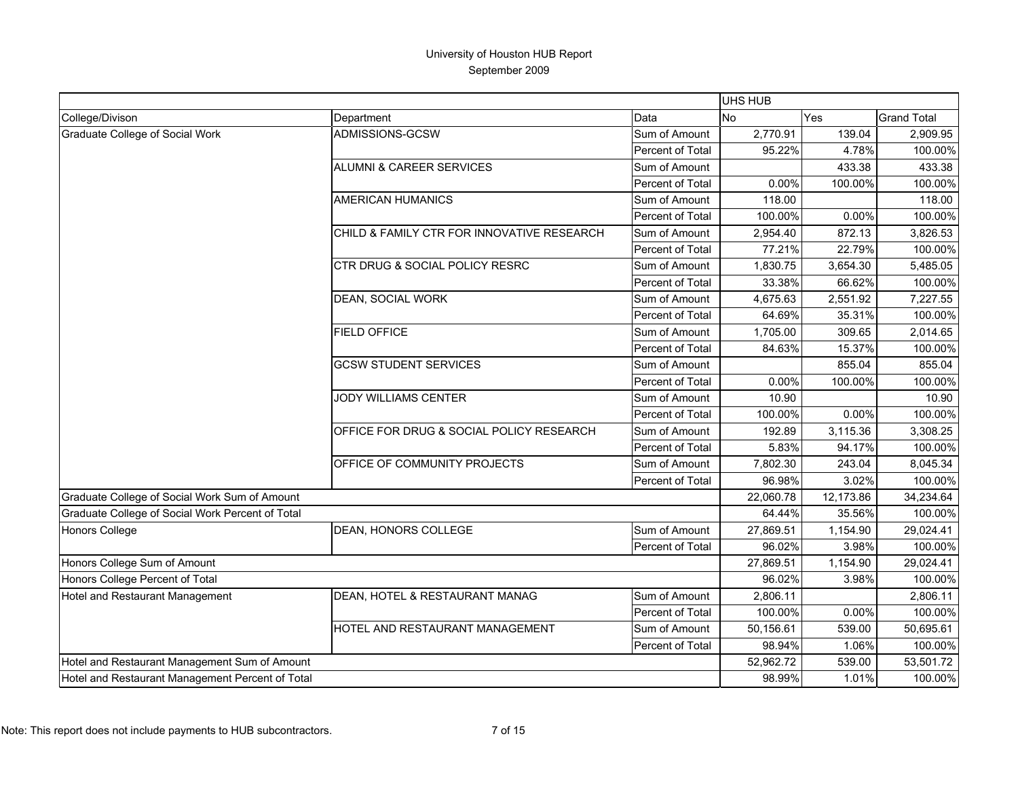|                                                  |                                            |                  | <b>UHS HUB</b> |            |                    |
|--------------------------------------------------|--------------------------------------------|------------------|----------------|------------|--------------------|
| College/Divison                                  | Department                                 | Data             | <b>No</b>      | <b>Yes</b> | <b>Grand Total</b> |
| Graduate College of Social Work                  | ADMISSIONS-GCSW                            | Sum of Amount    | 2,770.91       | 139.04     | 2,909.95           |
|                                                  |                                            | Percent of Total | 95.22%         | 4.78%      | 100.00%            |
|                                                  | <b>ALUMNI &amp; CAREER SERVICES</b>        | Sum of Amount    |                | 433.38     | 433.38             |
|                                                  |                                            | Percent of Total | 0.00%          | 100.00%    | 100.00%            |
|                                                  | <b>AMERICAN HUMANICS</b>                   | Sum of Amount    | 118.00         |            | 118.00             |
|                                                  |                                            | Percent of Total | 100.00%        | 0.00%      | 100.00%            |
|                                                  | CHILD & FAMILY CTR FOR INNOVATIVE RESEARCH | Sum of Amount    | 2,954.40       | 872.13     | 3,826.53           |
|                                                  |                                            | Percent of Total | 77.21%         | 22.79%     | 100.00%            |
|                                                  | CTR DRUG & SOCIAL POLICY RESRC             | Sum of Amount    | 1,830.75       | 3,654.30   | 5,485.05           |
|                                                  |                                            | Percent of Total | 33.38%         | 66.62%     | 100.00%            |
|                                                  | <b>DEAN, SOCIAL WORK</b>                   | Sum of Amount    | 4,675.63       | 2,551.92   | 7,227.55           |
|                                                  |                                            | Percent of Total | 64.69%         | 35.31%     | 100.00%            |
|                                                  | <b>FIELD OFFICE</b>                        | Sum of Amount    | 1,705.00       | 309.65     | 2,014.65           |
|                                                  |                                            | Percent of Total | 84.63%         | 15.37%     | 100.00%            |
|                                                  | <b>GCSW STUDENT SERVICES</b>               | Sum of Amount    |                | 855.04     | 855.04             |
|                                                  |                                            | Percent of Total | 0.00%          | 100.00%    | 100.00%            |
|                                                  | <b>JODY WILLIAMS CENTER</b>                | Sum of Amount    | 10.90          |            | 10.90              |
|                                                  |                                            | Percent of Total | 100.00%        | 0.00%      | 100.00%            |
|                                                  | OFFICE FOR DRUG & SOCIAL POLICY RESEARCH   | Sum of Amount    | 192.89         | 3,115.36   | 3,308.25           |
|                                                  |                                            | Percent of Total | 5.83%          | 94.17%     | 100.00%            |
|                                                  | OFFICE OF COMMUNITY PROJECTS               | Sum of Amount    | 7,802.30       | 243.04     | 8,045.34           |
|                                                  |                                            | Percent of Total | 96.98%         | 3.02%      | 100.00%            |
| Graduate College of Social Work Sum of Amount    |                                            |                  | 22,060.78      | 12,173.86  | 34,234.64          |
| Graduate College of Social Work Percent of Total |                                            |                  | 64.44%         | 35.56%     | 100.00%            |
| Honors College                                   | DEAN, HONORS COLLEGE                       | Sum of Amount    | 27,869.51      | 1,154.90   | 29,024.41          |
|                                                  |                                            | Percent of Total | 96.02%         | 3.98%      | 100.00%            |
| Honors College Sum of Amount                     |                                            |                  | 27,869.51      | 1,154.90   | 29,024.41          |
| Honors College Percent of Total                  |                                            |                  | 96.02%         | 3.98%      | 100.00%            |
| Hotel and Restaurant Management                  | DEAN, HOTEL & RESTAURANT MANAG             | Sum of Amount    | 2,806.11       |            | 2,806.11           |
|                                                  |                                            | Percent of Total | 100.00%        | 0.00%      | 100.00%            |
|                                                  | HOTEL AND RESTAURANT MANAGEMENT            | Sum of Amount    | 50,156.61      | 539.00     | 50,695.61          |
|                                                  |                                            | Percent of Total | 98.94%         | 1.06%      | 100.00%            |
| Hotel and Restaurant Management Sum of Amount    |                                            |                  | 52,962.72      | 539.00     | 53,501.72          |
| Hotel and Restaurant Management Percent of Total |                                            |                  | 98.99%         | 1.01%      | 100.00%            |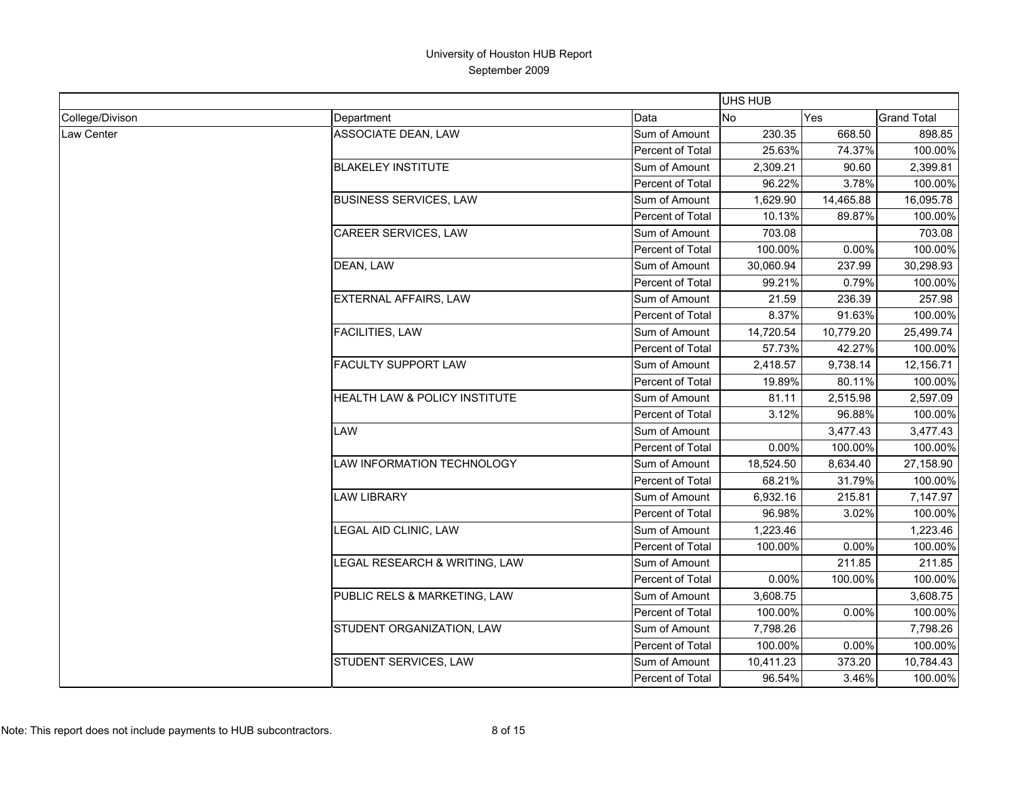|                 |                                          |                  | UHS HUB   |           |                    |
|-----------------|------------------------------------------|------------------|-----------|-----------|--------------------|
| College/Divison | Department                               | Data             | <b>No</b> | Yes       | <b>Grand Total</b> |
| Law Center      | <b>ASSOCIATE DEAN, LAW</b>               | Sum of Amount    | 230.35    | 668.50    | 898.85             |
|                 |                                          | Percent of Total | 25.63%    | 74.37%    | 100.00%            |
|                 | <b>BLAKELEY INSTITUTE</b>                | Sum of Amount    | 2,309.21  | 90.60     | 2,399.81           |
|                 |                                          | Percent of Total | 96.22%    | 3.78%     | 100.00%            |
|                 | <b>BUSINESS SERVICES, LAW</b>            | Sum of Amount    | 1,629.90  | 14,465.88 | 16,095.78          |
|                 |                                          | Percent of Total | 10.13%    | 89.87%    | 100.00%            |
|                 | CAREER SERVICES, LAW                     | Sum of Amount    | 703.08    |           | 703.08             |
|                 |                                          | Percent of Total | 100.00%   | 0.00%     | 100.00%            |
|                 | DEAN, LAW                                | Sum of Amount    | 30,060.94 | 237.99    | 30,298.93          |
|                 |                                          | Percent of Total | 99.21%    | 0.79%     | 100.00%            |
|                 | <b>EXTERNAL AFFAIRS, LAW</b>             | Sum of Amount    | 21.59     | 236.39    | 257.98             |
|                 |                                          | Percent of Total | 8.37%     | 91.63%    | 100.00%            |
|                 | <b>FACILITIES, LAW</b>                   | Sum of Amount    | 14,720.54 | 10,779.20 | 25,499.74          |
|                 |                                          | Percent of Total | 57.73%    | 42.27%    | 100.00%            |
|                 | <b>FACULTY SUPPORT LAW</b>               | Sum of Amount    | 2,418.57  | 9,738.14  | 12,156.71          |
|                 |                                          | Percent of Total | 19.89%    | 80.11%    | 100.00%            |
|                 | <b>HEALTH LAW &amp; POLICY INSTITUTE</b> | Sum of Amount    | 81.11     | 2,515.98  | 2,597.09           |
|                 |                                          | Percent of Total | 3.12%     | 96.88%    | 100.00%            |
|                 | LAW                                      | Sum of Amount    |           | 3,477.43  | 3,477.43           |
|                 |                                          | Percent of Total | 0.00%     | 100.00%   | 100.00%            |
|                 | LAW INFORMATION TECHNOLOGY               | Sum of Amount    | 18,524.50 | 8,634.40  | 27,158.90          |
|                 |                                          | Percent of Total | 68.21%    | 31.79%    | 100.00%            |
|                 | <b>LAW LIBRARY</b>                       | Sum of Amount    | 6,932.16  | 215.81    | 7,147.97           |
|                 |                                          | Percent of Total | 96.98%    | 3.02%     | 100.00%            |
|                 | LEGAL AID CLINIC, LAW                    | Sum of Amount    | 1,223.46  |           | 1,223.46           |
|                 |                                          | Percent of Total | 100.00%   | 0.00%     | 100.00%            |
|                 | LEGAL RESEARCH & WRITING, LAW            | Sum of Amount    |           | 211.85    | 211.85             |
|                 |                                          | Percent of Total | 0.00%     | 100.00%   | 100.00%            |
|                 | PUBLIC RELS & MARKETING, LAW             | Sum of Amount    | 3,608.75  |           | 3,608.75           |
|                 |                                          | Percent of Total | 100.00%   | 0.00%     | 100.00%            |
|                 | STUDENT ORGANIZATION, LAW                | Sum of Amount    | 7,798.26  |           | 7,798.26           |
|                 |                                          | Percent of Total | 100.00%   | 0.00%     | 100.00%            |
|                 | STUDENT SERVICES, LAW                    | Sum of Amount    | 10,411.23 | 373.20    | 10,784.43          |
|                 |                                          | Percent of Total | 96.54%    | 3.46%     | 100.00%            |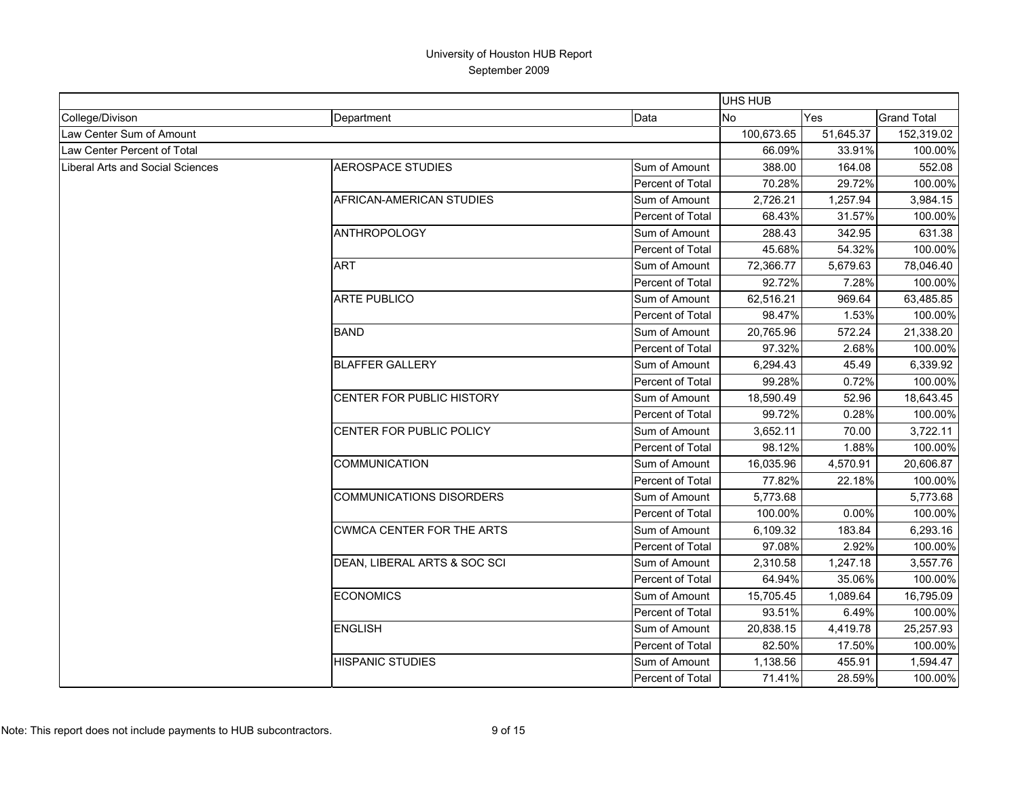|                                  |                                  |                         | UHS HUB    |           |                    |
|----------------------------------|----------------------------------|-------------------------|------------|-----------|--------------------|
| College/Divison                  | Department                       | Data                    | <b>No</b>  | Yes       | <b>Grand Total</b> |
| Law Center Sum of Amount         |                                  |                         | 100,673.65 | 51.645.37 | 152,319.02         |
| Law Center Percent of Total      |                                  |                         | 66.09%     | 33.91%    | 100.00%            |
| Liberal Arts and Social Sciences | <b>AEROSPACE STUDIES</b>         | Sum of Amount           | 388.00     | 164.08    | 552.08             |
|                                  |                                  | Percent of Total        | 70.28%     | 29.72%    | 100.00%            |
|                                  | AFRICAN-AMERICAN STUDIES         | Sum of Amount           | 2,726.21   | 1,257.94  | 3,984.15           |
|                                  |                                  | <b>Percent of Total</b> | 68.43%     | 31.57%    | 100.00%            |
|                                  | <b>ANTHROPOLOGY</b>              | Sum of Amount           | 288.43     | 342.95    | 631.38             |
|                                  |                                  | Percent of Total        | 45.68%     | 54.32%    | 100.00%            |
|                                  | <b>ART</b>                       | Sum of Amount           | 72,366.77  | 5,679.63  | 78,046.40          |
|                                  |                                  | Percent of Total        | 92.72%     | 7.28%     | 100.00%            |
|                                  | <b>ARTE PUBLICO</b>              | Sum of Amount           | 62,516.21  | 969.64    | 63,485.85          |
|                                  |                                  | Percent of Total        | 98.47%     | 1.53%     | 100.00%            |
|                                  | <b>BAND</b>                      | Sum of Amount           | 20,765.96  | 572.24    | 21,338.20          |
|                                  |                                  | Percent of Total        | 97.32%     | 2.68%     | 100.00%            |
|                                  | <b>BLAFFER GALLERY</b>           | Sum of Amount           | 6,294.43   | 45.49     | 6,339.92           |
|                                  |                                  | Percent of Total        | 99.28%     | 0.72%     | 100.00%            |
|                                  | <b>CENTER FOR PUBLIC HISTORY</b> | Sum of Amount           | 18,590.49  | 52.96     | 18,643.45          |
|                                  |                                  | Percent of Total        | 99.72%     | 0.28%     | 100.00%            |
|                                  | CENTER FOR PUBLIC POLICY         | Sum of Amount           | 3,652.11   | 70.00     | 3,722.11           |
|                                  |                                  | Percent of Total        | 98.12%     | 1.88%     | 100.00%            |
|                                  | <b>COMMUNICATION</b>             | Sum of Amount           | 16,035.96  | 4,570.91  | 20,606.87          |
|                                  |                                  | Percent of Total        | 77.82%     | 22.18%    | 100.00%            |
|                                  | <b>COMMUNICATIONS DISORDERS</b>  | Sum of Amount           | 5,773.68   |           | 5,773.68           |
|                                  |                                  | Percent of Total        | 100.00%    | 0.00%     | 100.00%            |
|                                  | <b>CWMCA CENTER FOR THE ARTS</b> | Sum of Amount           | 6,109.32   | 183.84    | 6,293.16           |
|                                  |                                  | Percent of Total        | 97.08%     | 2.92%     | 100.00%            |
|                                  | DEAN, LIBERAL ARTS & SOC SCI     | Sum of Amount           | 2,310.58   | 1,247.18  | 3,557.76           |
|                                  |                                  | <b>Percent of Total</b> | 64.94%     | 35.06%    | 100.00%            |
|                                  | <b>ECONOMICS</b>                 | Sum of Amount           | 15,705.45  | 1,089.64  | 16,795.09          |
|                                  |                                  | Percent of Total        | 93.51%     | 6.49%     | 100.00%            |
|                                  | <b>ENGLISH</b>                   | Sum of Amount           | 20,838.15  | 4,419.78  | 25,257.93          |
|                                  |                                  | Percent of Total        | 82.50%     | 17.50%    | 100.00%            |
|                                  | <b>HISPANIC STUDIES</b>          | Sum of Amount           | 1,138.56   | 455.91    | 1,594.47           |
|                                  |                                  | Percent of Total        | 71.41%     | 28.59%    | 100.00%            |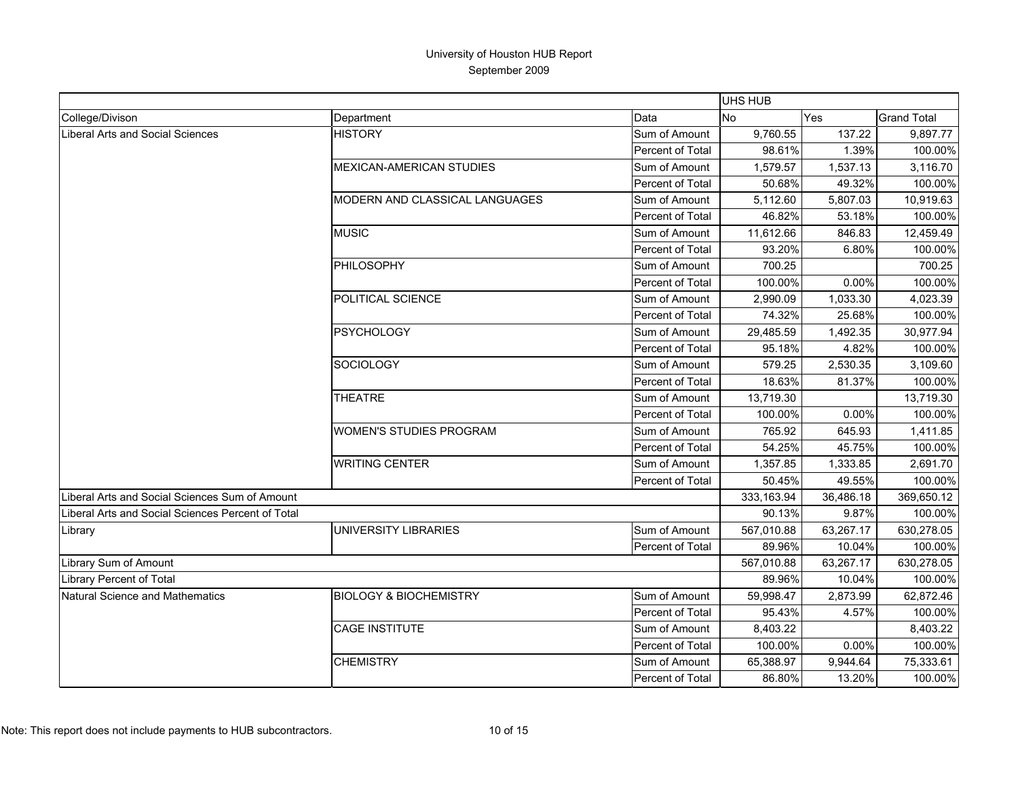|                                                   |                                   |                  | UHS HUB    |           |                    |
|---------------------------------------------------|-----------------------------------|------------------|------------|-----------|--------------------|
| College/Divison                                   | Department                        | Data             | <b>No</b>  | Yes       | <b>Grand Total</b> |
| Liberal Arts and Social Sciences                  | <b>HISTORY</b>                    | Sum of Amount    | 9,760.55   | 137.22    | 9,897.77           |
|                                                   |                                   | Percent of Total | 98.61%     | 1.39%     | 100.00%            |
|                                                   | <b>MEXICAN-AMERICAN STUDIES</b>   | Sum of Amount    | 1.579.57   | 1.537.13  | 3,116.70           |
|                                                   |                                   | Percent of Total | 50.68%     | 49.32%    | 100.00%            |
|                                                   | MODERN AND CLASSICAL LANGUAGES    | Sum of Amount    | 5,112.60   | 5,807.03  | 10,919.63          |
|                                                   |                                   | Percent of Total | 46.82%     | 53.18%    | 100.00%            |
|                                                   | <b>MUSIC</b>                      | Sum of Amount    | 11,612.66  | 846.83    | 12,459.49          |
|                                                   |                                   | Percent of Total | 93.20%     | 6.80%     | 100.00%            |
|                                                   | PHILOSOPHY                        | Sum of Amount    | 700.25     |           | 700.25             |
|                                                   |                                   | Percent of Total | 100.00%    | 0.00%     | 100.00%            |
|                                                   | POLITICAL SCIENCE                 | Sum of Amount    | 2,990.09   | 1,033.30  | 4,023.39           |
|                                                   |                                   | Percent of Total | 74.32%     | 25.68%    | 100.00%            |
|                                                   | <b>PSYCHOLOGY</b>                 | Sum of Amount    | 29,485.59  | 1,492.35  | 30,977.94          |
|                                                   |                                   | Percent of Total | 95.18%     | 4.82%     | 100.00%            |
|                                                   | SOCIOLOGY                         | Sum of Amount    | 579.25     | 2,530.35  | 3,109.60           |
|                                                   | Percent of Total                  | 18.63%           | 81.37%     | 100.00%   |                    |
|                                                   | <b>THEATRE</b>                    | Sum of Amount    | 13,719.30  |           | 13,719.30          |
|                                                   |                                   | Percent of Total | 100.00%    | 0.00%     | 100.00%            |
|                                                   | <b>WOMEN'S STUDIES PROGRAM</b>    | Sum of Amount    | 765.92     | 645.93    | 1,411.85           |
|                                                   |                                   | Percent of Total | 54.25%     | 45.75%    | 100.00%            |
|                                                   | <b>WRITING CENTER</b>             | Sum of Amount    | 1,357.85   | 1,333.85  | 2,691.70           |
|                                                   |                                   | Percent of Total | 50.45%     | 49.55%    | 100.00%            |
| Liberal Arts and Social Sciences Sum of Amount    |                                   |                  | 333,163.94 | 36,486.18 | 369,650.12         |
| Liberal Arts and Social Sciences Percent of Total |                                   |                  | 90.13%     | 9.87%     | 100.00%            |
| Library                                           | <b>UNIVERSITY LIBRARIES</b>       | Sum of Amount    | 567,010.88 | 63,267.17 | 630,278.05         |
|                                                   |                                   | Percent of Total | 89.96%     | 10.04%    | 100.00%            |
| Library Sum of Amount                             |                                   |                  | 567,010.88 | 63,267.17 | 630,278.05         |
| <b>Library Percent of Total</b>                   |                                   |                  | 89.96%     | 10.04%    | 100.00%            |
| Natural Science and Mathematics                   | <b>BIOLOGY &amp; BIOCHEMISTRY</b> | Sum of Amount    | 59,998.47  | 2,873.99  | 62,872.46          |
|                                                   |                                   | Percent of Total | 95.43%     | 4.57%     | 100.00%            |
|                                                   | <b>CAGE INSTITUTE</b>             | Sum of Amount    | 8,403.22   |           | 8,403.22           |
|                                                   |                                   | Percent of Total | 100.00%    | 0.00%     | 100.00%            |
|                                                   | <b>CHEMISTRY</b>                  | Sum of Amount    | 65,388.97  | 9,944.64  | 75,333.61          |
|                                                   |                                   | Percent of Total | 86.80%     | 13.20%    | 100.00%            |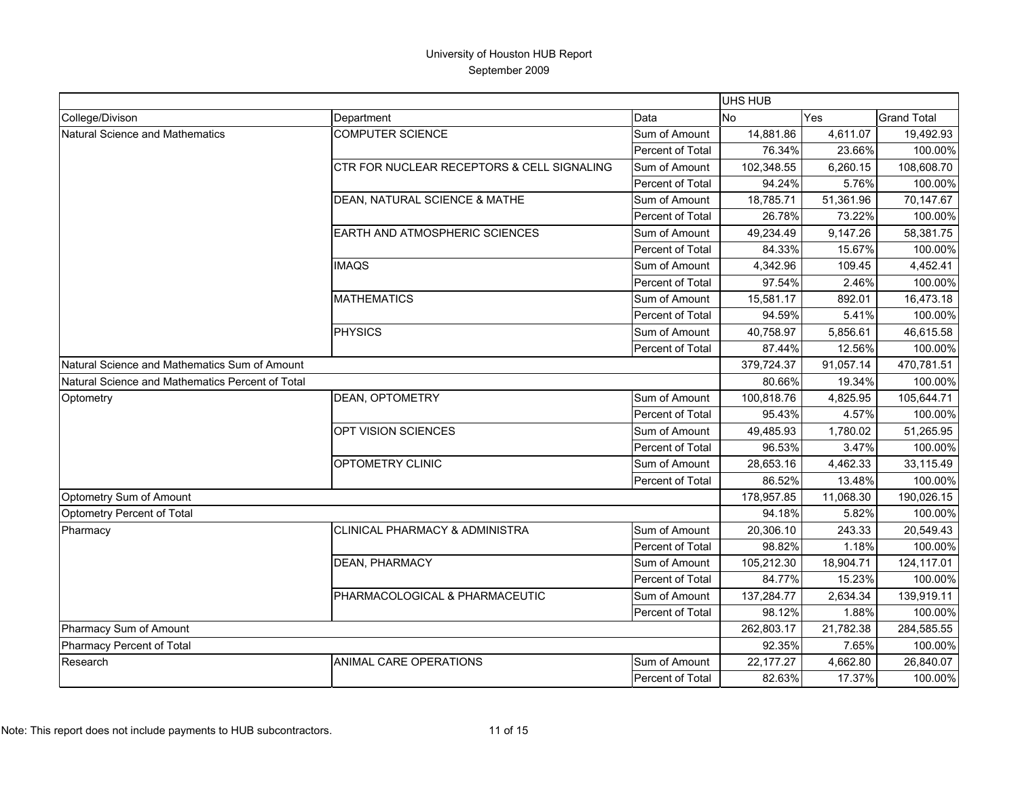|                                                  |                                            |                  | UHS HUB    |            |                    |
|--------------------------------------------------|--------------------------------------------|------------------|------------|------------|--------------------|
| College/Divison                                  | Department                                 | Data             | <b>No</b>  | <b>Yes</b> | <b>Grand Total</b> |
| Natural Science and Mathematics                  | <b>COMPUTER SCIENCE</b>                    | Sum of Amount    | 14,881.86  | 4,611.07   | 19,492.93          |
|                                                  |                                            | Percent of Total | 76.34%     | 23.66%     | 100.00%            |
|                                                  | CTR FOR NUCLEAR RECEPTORS & CELL SIGNALING | Sum of Amount    | 102,348.55 | 6,260.15   | 108,608.70         |
|                                                  |                                            | Percent of Total | 94.24%     | 5.76%      | 100.00%            |
|                                                  | DEAN, NATURAL SCIENCE & MATHE              | Sum of Amount    | 18.785.71  | 51,361.96  | 70,147.67          |
|                                                  |                                            | Percent of Total | 26.78%     | 73.22%     | 100.00%            |
|                                                  | <b>EARTH AND ATMOSPHERIC SCIENCES</b>      | Sum of Amount    | 49,234.49  | 9,147.26   | 58,381.75          |
|                                                  |                                            | Percent of Total | 84.33%     | 15.67%     | 100.00%            |
|                                                  | <b>IMAQS</b>                               | Sum of Amount    | 4,342.96   | 109.45     | 4,452.41           |
|                                                  |                                            | Percent of Total | 97.54%     | 2.46%      | 100.00%            |
|                                                  | <b>MATHEMATICS</b>                         | Sum of Amount    | 15,581.17  | 892.01     | 16,473.18          |
|                                                  |                                            | Percent of Total | 94.59%     | 5.41%      | 100.00%            |
|                                                  | <b>PHYSICS</b>                             | Sum of Amount    | 40,758.97  | 5,856.61   | 46,615.58          |
|                                                  |                                            | Percent of Total | 87.44%     | 12.56%     | 100.00%            |
| Natural Science and Mathematics Sum of Amount    |                                            |                  | 379,724.37 | 91,057.14  | 470,781.51         |
| Natural Science and Mathematics Percent of Total |                                            |                  | 80.66%     | 19.34%     | 100.00%            |
| Optometry                                        | <b>DEAN, OPTOMETRY</b>                     | Sum of Amount    | 100,818.76 | 4,825.95   | 105,644.71         |
|                                                  |                                            | Percent of Total | 95.43%     | 4.57%      | 100.00%            |
|                                                  | OPT VISION SCIENCES                        | Sum of Amount    | 49,485.93  | 1,780.02   | 51,265.95          |
|                                                  |                                            | Percent of Total | 96.53%     | 3.47%      | 100.00%            |
|                                                  | OPTOMETRY CLINIC                           | Sum of Amount    | 28,653.16  | 4,462.33   | 33,115.49          |
|                                                  |                                            | Percent of Total | 86.52%     | 13.48%     | 100.00%            |
| Optometry Sum of Amount                          |                                            |                  | 178,957.85 | 11,068.30  | 190,026.15         |
| Optometry Percent of Total                       |                                            |                  | 94.18%     | 5.82%      | 100.00%            |
| Pharmacy                                         | CLINICAL PHARMACY & ADMINISTRA             | Sum of Amount    | 20,306.10  | 243.33     | 20,549.43          |
|                                                  |                                            | Percent of Total | 98.82%     | 1.18%      | 100.00%            |
|                                                  | DEAN, PHARMACY                             | Sum of Amount    | 105,212.30 | 18,904.71  | 124,117.01         |
|                                                  |                                            | Percent of Total | 84.77%     | 15.23%     | 100.00%            |
|                                                  | PHARMACOLOGICAL & PHARMACEUTIC             | Sum of Amount    | 137,284.77 | 2,634.34   | 139,919.11         |
|                                                  |                                            | Percent of Total | 98.12%     | 1.88%      | 100.00%            |
| Pharmacy Sum of Amount                           |                                            |                  | 262,803.17 | 21,782.38  | 284,585.55         |
| Pharmacy Percent of Total                        |                                            |                  | 92.35%     | 7.65%      | 100.00%            |
| Research                                         | ANIMAL CARE OPERATIONS                     | Sum of Amount    | 22,177.27  | 4,662.80   | 26,840.07          |
|                                                  |                                            | Percent of Total | 82.63%     | 17.37%     | 100.00%            |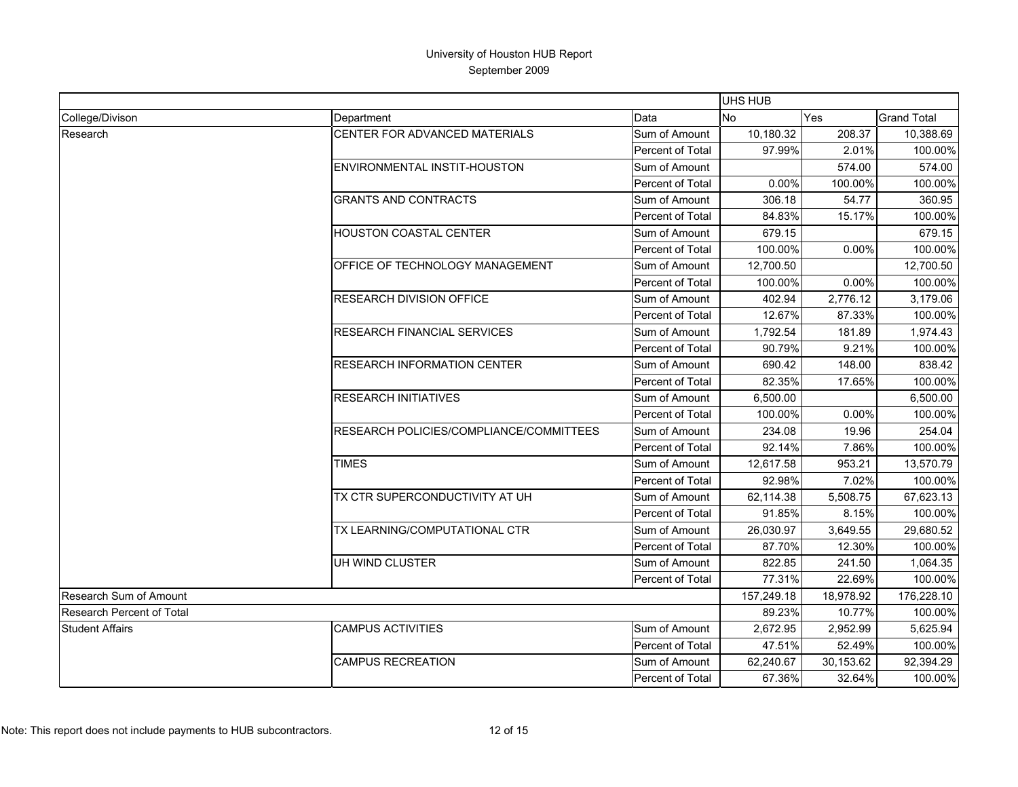|                                  |                                                |                  | <b>UHS HUB</b> |            |                    |
|----------------------------------|------------------------------------------------|------------------|----------------|------------|--------------------|
| College/Divison                  | Department                                     | Data             | <b>No</b>      | <b>Yes</b> | <b>Grand Total</b> |
| Research                         | CENTER FOR ADVANCED MATERIALS                  | Sum of Amount    | 10,180.32      | 208.37     | 10,388.69          |
|                                  |                                                | Percent of Total | 97.99%         | 2.01%      | 100.00%            |
|                                  | ENVIRONMENTAL INSTIT-HOUSTON                   | Sum of Amount    |                | 574.00     | 574.00             |
|                                  |                                                | Percent of Total | 0.00%          | 100.00%    | 100.00%            |
|                                  | <b>GRANTS AND CONTRACTS</b>                    | Sum of Amount    | 306.18         | 54.77      | 360.95             |
|                                  |                                                | Percent of Total | 84.83%         | 15.17%     | 100.00%            |
|                                  | <b>HOUSTON COASTAL CENTER</b>                  | Sum of Amount    | 679.15         |            | 679.15             |
|                                  |                                                | Percent of Total | 100.00%        | 0.00%      | 100.00%            |
|                                  | OFFICE OF TECHNOLOGY MANAGEMENT                | Sum of Amount    | 12,700.50      |            | 12,700.50          |
|                                  |                                                | Percent of Total | 100.00%        | 0.00%      | 100.00%            |
|                                  | <b>RESEARCH DIVISION OFFICE</b>                | Sum of Amount    | 402.94         | 2,776.12   | 3,179.06           |
|                                  |                                                | Percent of Total | 12.67%         | 87.33%     | 100.00%            |
|                                  | <b>RESEARCH FINANCIAL SERVICES</b>             | Sum of Amount    | 1,792.54       | 181.89     | 1,974.43           |
|                                  |                                                | Percent of Total | 90.79%         | 9.21%      | 100.00%            |
|                                  | <b>RESEARCH INFORMATION CENTER</b>             | Sum of Amount    | 690.42         | 148.00     | 838.42             |
|                                  |                                                | Percent of Total | 82.35%         | 17.65%     | 100.00%            |
|                                  | <b>RESEARCH INITIATIVES</b>                    | Sum of Amount    | 6,500.00       |            | 6,500.00           |
|                                  |                                                | Percent of Total | 100.00%        | 0.00%      | 100.00%            |
|                                  | <b>RESEARCH POLICIES/COMPLIANCE/COMMITTEES</b> | Sum of Amount    | 234.08         | 19.96      | 254.04             |
|                                  |                                                | Percent of Total | 92.14%         | 7.86%      | 100.00%            |
|                                  | <b>TIMES</b>                                   | Sum of Amount    | 12,617.58      | 953.21     | 13,570.79          |
|                                  |                                                | Percent of Total | 92.98%         | 7.02%      | 100.00%            |
|                                  | TX CTR SUPERCONDUCTIVITY AT UH                 | Sum of Amount    | 62,114.38      | 5,508.75   | 67,623.13          |
|                                  |                                                | Percent of Total | 91.85%         | 8.15%      | 100.00%            |
|                                  | TX LEARNING/COMPUTATIONAL CTR                  | Sum of Amount    | 26,030.97      | 3,649.55   | 29,680.52          |
|                                  |                                                | Percent of Total | 87.70%         | 12.30%     | 100.00%            |
|                                  | UH WIND CLUSTER                                | Sum of Amount    | 822.85         | 241.50     | 1,064.35           |
|                                  |                                                | Percent of Total | 77.31%         | 22.69%     | 100.00%            |
| Research Sum of Amount           |                                                |                  | 157,249.18     | 18,978.92  | 176,228.10         |
| <b>Research Percent of Total</b> |                                                |                  | 89.23%         | 10.77%     | 100.00%            |
| <b>Student Affairs</b>           | <b>CAMPUS ACTIVITIES</b>                       | Sum of Amount    | 2,672.95       | 2,952.99   | 5,625.94           |
|                                  |                                                | Percent of Total | 47.51%         | 52.49%     | 100.00%            |
|                                  | <b>CAMPUS RECREATION</b>                       | Sum of Amount    | 62,240.67      | 30,153.62  | 92,394.29          |
|                                  |                                                | Percent of Total | 67.36%         | 32.64%     | 100.00%            |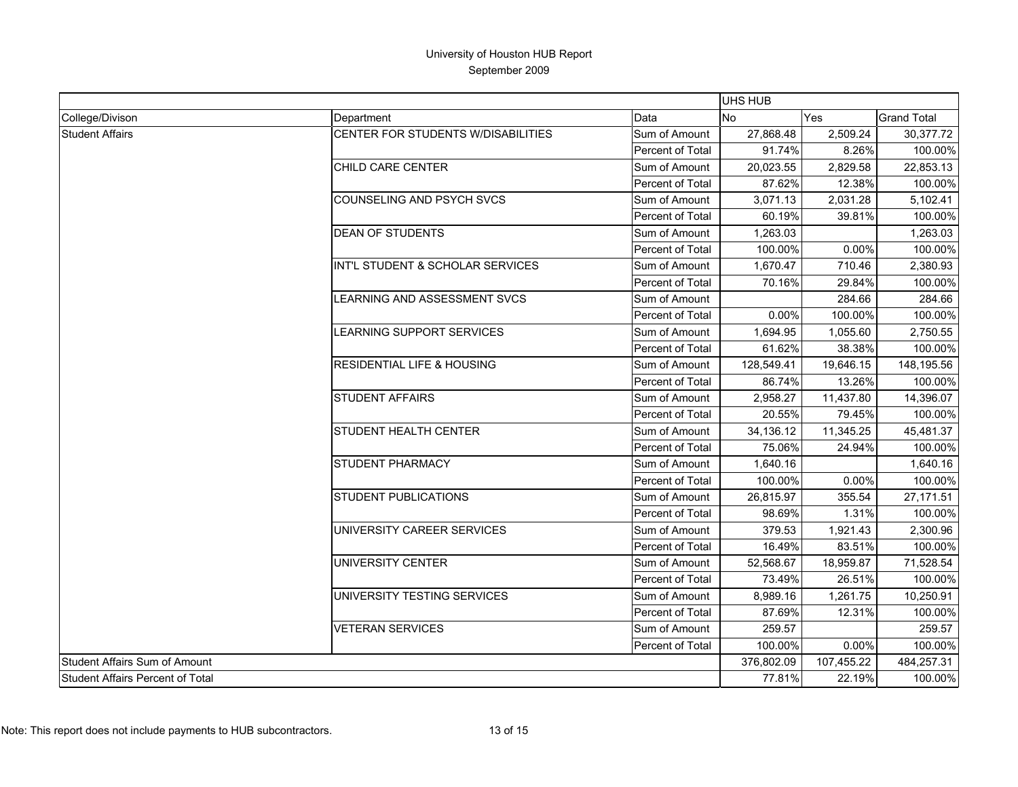|                                         |                                       |                  | <b>UHS HUB</b> |            |                    |  |
|-----------------------------------------|---------------------------------------|------------------|----------------|------------|--------------------|--|
| College/Divison                         | Department                            | Data             | <b>No</b>      | <b>Yes</b> | <b>Grand Total</b> |  |
| <b>Student Affairs</b>                  | CENTER FOR STUDENTS W/DISABILITIES    | Sum of Amount    | 27,868.48      | 2,509.24   | 30,377.72          |  |
|                                         |                                       | Percent of Total | 91.74%         | 8.26%      | 100.00%            |  |
|                                         | CHILD CARE CENTER                     | Sum of Amount    | 20.023.55      | 2,829.58   | 22,853.13          |  |
|                                         |                                       | Percent of Total | 87.62%         | 12.38%     | 100.00%            |  |
|                                         | COUNSELING AND PSYCH SVCS             | Sum of Amount    | 3,071.13       | 2,031.28   | 5,102.41           |  |
|                                         |                                       | Percent of Total | 60.19%         | 39.81%     | 100.00%            |  |
|                                         | <b>DEAN OF STUDENTS</b>               | Sum of Amount    | 1,263.03       |            | 1,263.03           |  |
|                                         |                                       | Percent of Total | 100.00%        | 0.00%      | 100.00%            |  |
|                                         | INT'L STUDENT & SCHOLAR SERVICES      | Sum of Amount    | 1,670.47       | 710.46     | 2,380.93           |  |
|                                         |                                       | Percent of Total | 70.16%         | 29.84%     | 100.00%            |  |
|                                         | LEARNING AND ASSESSMENT SVCS          | Sum of Amount    |                | 284.66     | 284.66             |  |
|                                         |                                       | Percent of Total | $0.00\%$       | 100.00%    | 100.00%            |  |
|                                         | LEARNING SUPPORT SERVICES             | Sum of Amount    | 1,694.95       | 1,055.60   | 2,750.55           |  |
|                                         |                                       | Percent of Total | 61.62%         | 38.38%     | 100.00%            |  |
|                                         | <b>RESIDENTIAL LIFE &amp; HOUSING</b> | Sum of Amount    | 128,549.41     | 19,646.15  | 148,195.56         |  |
|                                         |                                       | Percent of Total | 86.74%         | 13.26%     | 100.00%            |  |
|                                         | <b>STUDENT AFFAIRS</b>                | Sum of Amount    | 2,958.27       | 11,437.80  | 14,396.07          |  |
|                                         |                                       | Percent of Total | 20.55%         | 79.45%     | 100.00%            |  |
|                                         | <b>STUDENT HEALTH CENTER</b>          | Sum of Amount    | 34,136.12      | 11,345.25  | 45,481.37          |  |
|                                         |                                       | Percent of Total | 75.06%         | 24.94%     | 100.00%            |  |
|                                         | <b>STUDENT PHARMACY</b>               | Sum of Amount    | 1,640.16       |            | 1,640.16           |  |
|                                         |                                       | Percent of Total | 100.00%        | 0.00%      | 100.00%            |  |
|                                         | <b>STUDENT PUBLICATIONS</b>           | Sum of Amount    | 26,815.97      | 355.54     | 27,171.51          |  |
|                                         |                                       | Percent of Total | 98.69%         | 1.31%      | 100.00%            |  |
|                                         | UNIVERSITY CAREER SERVICES            | Sum of Amount    | 379.53         | 1,921.43   | 2,300.96           |  |
|                                         |                                       | Percent of Total | 16.49%         | 83.51%     | 100.00%            |  |
|                                         | UNIVERSITY CENTER                     | Sum of Amount    | 52,568.67      | 18,959.87  | 71,528.54          |  |
|                                         |                                       | Percent of Total | 73.49%         | 26.51%     | 100.00%            |  |
|                                         | UNIVERSITY TESTING SERVICES           | Sum of Amount    | 8,989.16       | 1,261.75   | 10,250.91          |  |
|                                         |                                       | Percent of Total | 87.69%         | 12.31%     | 100.00%            |  |
|                                         | <b>VETERAN SERVICES</b>               | Sum of Amount    | 259.57         |            | 259.57             |  |
|                                         |                                       | Percent of Total | 100.00%        | 0.00%      | 100.00%            |  |
| Student Affairs Sum of Amount           |                                       |                  | 376,802.09     | 107,455.22 | 484,257.31         |  |
| <b>Student Affairs Percent of Total</b> |                                       |                  | 77.81%         | 22.19%     | 100.00%            |  |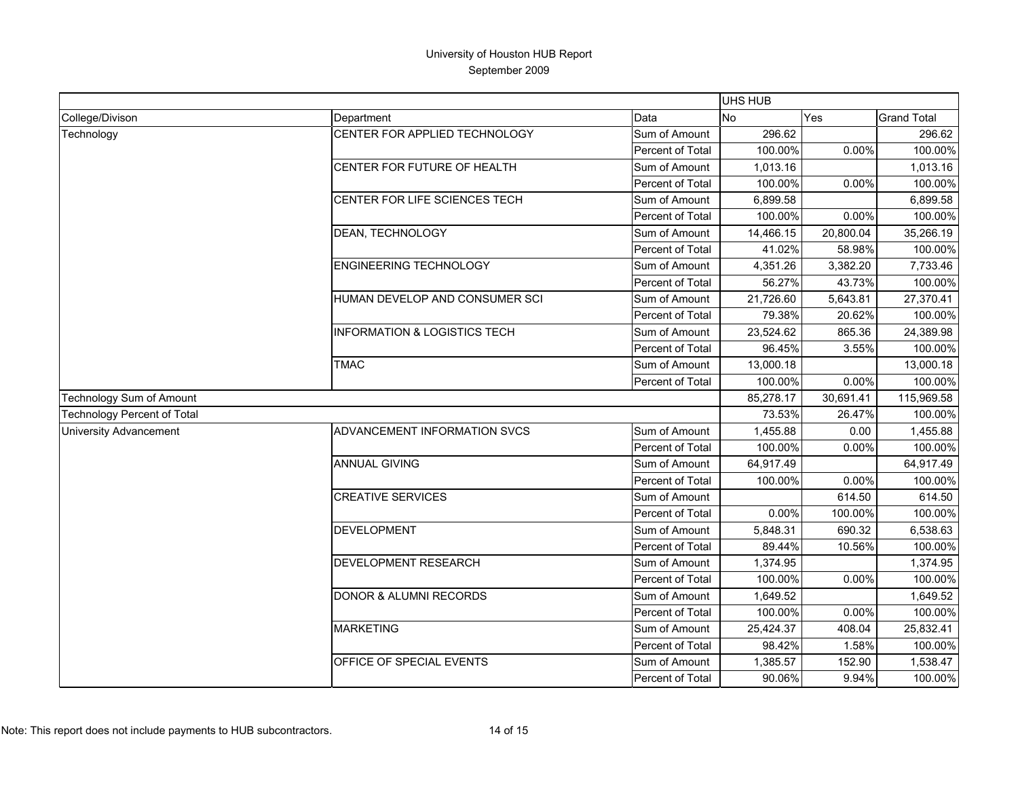|                                    |                                         |                  | UHS HUB   |           |                    |
|------------------------------------|-----------------------------------------|------------------|-----------|-----------|--------------------|
| College/Divison                    | Department                              | Data             | <b>No</b> | Yes       | <b>Grand Total</b> |
| Technology                         | CENTER FOR APPLIED TECHNOLOGY           | Sum of Amount    | 296.62    |           | 296.62             |
|                                    |                                         | Percent of Total | 100.00%   | 0.00%     | 100.00%            |
|                                    | CENTER FOR FUTURE OF HEALTH             | Sum of Amount    | 1,013.16  |           | 1,013.16           |
|                                    |                                         | Percent of Total | 100.00%   | 0.00%     | 100.00%            |
|                                    | CENTER FOR LIFE SCIENCES TECH           | Sum of Amount    | 6,899.58  |           | 6,899.58           |
|                                    |                                         | Percent of Total | 100.00%   | 0.00%     | 100.00%            |
|                                    | <b>DEAN, TECHNOLOGY</b>                 | Sum of Amount    | 14,466.15 | 20,800.04 | 35,266.19          |
|                                    |                                         | Percent of Total | 41.02%    | 58.98%    | 100.00%            |
|                                    | <b>ENGINEERING TECHNOLOGY</b>           | Sum of Amount    | 4,351.26  | 3,382.20  | 7,733.46           |
|                                    |                                         | Percent of Total | 56.27%    | 43.73%    | 100.00%            |
|                                    | HUMAN DEVELOP AND CONSUMER SCI          | Sum of Amount    | 21,726.60 | 5,643.81  | 27,370.41          |
|                                    |                                         | Percent of Total | 79.38%    | 20.62%    | 100.00%            |
|                                    | <b>INFORMATION &amp; LOGISTICS TECH</b> | Sum of Amount    | 23,524.62 | 865.36    | 24,389.98          |
|                                    |                                         | Percent of Total | 96.45%    | 3.55%     | 100.00%            |
|                                    | <b>TMAC</b>                             | Sum of Amount    | 13,000.18 |           | 13,000.18          |
|                                    |                                         | Percent of Total | 100.00%   | 0.00%     | 100.00%            |
| Technology Sum of Amount           |                                         |                  | 85,278.17 | 30,691.41 | 115,969.58         |
| <b>Technology Percent of Total</b> |                                         |                  | 73.53%    | 26.47%    | 100.00%            |
| <b>University Advancement</b>      | ADVANCEMENT INFORMATION SVCS            | Sum of Amount    | 1,455.88  | 0.00      | 1,455.88           |
|                                    |                                         | Percent of Total | 100.00%   | 0.00%     | 100.00%            |
|                                    | <b>ANNUAL GIVING</b>                    | Sum of Amount    | 64,917.49 |           | 64,917.49          |
|                                    |                                         | Percent of Total | 100.00%   | 0.00%     | 100.00%            |
|                                    | <b>CREATIVE SERVICES</b>                | Sum of Amount    |           | 614.50    | 614.50             |
|                                    |                                         | Percent of Total | 0.00%     | 100.00%   | 100.00%            |
|                                    | <b>DEVELOPMENT</b>                      | Sum of Amount    | 5,848.31  | 690.32    | 6,538.63           |
|                                    |                                         | Percent of Total | 89.44%    | 10.56%    | 100.00%            |
|                                    | <b>DEVELOPMENT RESEARCH</b>             | Sum of Amount    | 1,374.95  |           | 1,374.95           |
|                                    |                                         | Percent of Total | 100.00%   | 0.00%     | 100.00%            |
|                                    | <b>DONOR &amp; ALUMNI RECORDS</b>       | Sum of Amount    | 1,649.52  |           | 1,649.52           |
|                                    |                                         | Percent of Total | 100.00%   | 0.00%     | 100.00%            |
|                                    | <b>MARKETING</b>                        | Sum of Amount    | 25,424.37 | 408.04    | 25,832.41          |
|                                    |                                         | Percent of Total | 98.42%    | 1.58%     | 100.00%            |
|                                    | OFFICE OF SPECIAL EVENTS                | Sum of Amount    | 1,385.57  | 152.90    | 1,538.47           |
|                                    |                                         | Percent of Total | 90.06%    | 9.94%     | 100.00%            |